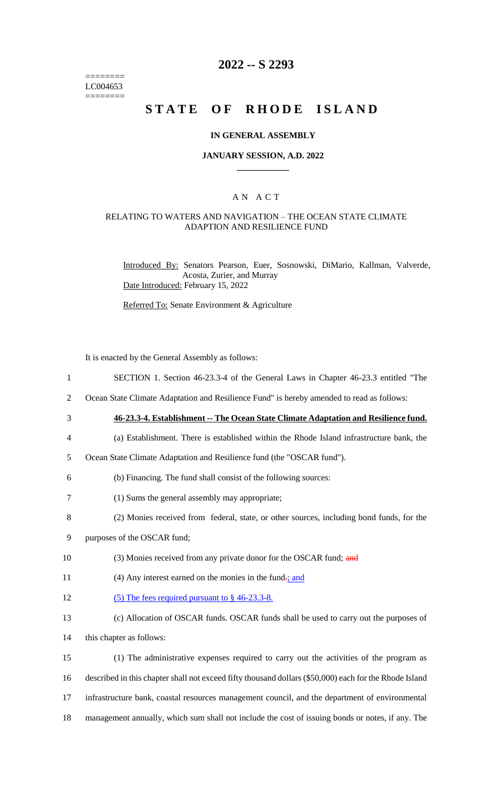======== LC004653 ========

## **2022 -- S 2293**

# **STATE OF RHODE ISLAND**

### **IN GENERAL ASSEMBLY**

#### **JANUARY SESSION, A.D. 2022 \_\_\_\_\_\_\_\_\_\_\_\_**

### A N A C T

### RELATING TO WATERS AND NAVIGATION – THE OCEAN STATE CLIMATE ADAPTION AND RESILIENCE FUND

Introduced By: Senators Pearson, Euer, Sosnowski, DiMario, Kallman, Valverde, Acosta, Zurier, and Murray Date Introduced: February 15, 2022

Referred To: Senate Environment & Agriculture

It is enacted by the General Assembly as follows:

- 1 SECTION 1. Section 46-23.3-4 of the General Laws in Chapter 46-23.3 entitled "The
- 2 Ocean State Climate Adaptation and Resilience Fund" is hereby amended to read as follows:
- 3 **46-23.3-4. Establishment -- The Ocean State Climate Adaptation and Resilience fund.**
	-
- 4 (a) Establishment. There is established within the Rhode Island infrastructure bank, the
- 5 Ocean State Climate Adaptation and Resilience fund (the "OSCAR fund").
- 6 (b) Financing. The fund shall consist of the following sources:
- 7 (1) Sums the general assembly may appropriate;
- 8 (2) Monies received from federal, state, or other sources, including bond funds, for the
- 9 purposes of the OSCAR fund;
- 10 (3) Monies received from any private donor for the OSCAR fund; and
- 11 (4) Any interest earned on the monies in the fund-; and
- 12 (5) The fees required pursuant to § 46-23.3-8.
- 13 (c) Allocation of OSCAR funds. OSCAR funds shall be used to carry out the purposes of 14 this chapter as follows:
- 15 (1) The administrative expenses required to carry out the activities of the program as 16 described in this chapter shall not exceed fifty thousand dollars (\$50,000) each for the Rhode Island 17 infrastructure bank, coastal resources management council, and the department of environmental 18 management annually, which sum shall not include the cost of issuing bonds or notes, if any. The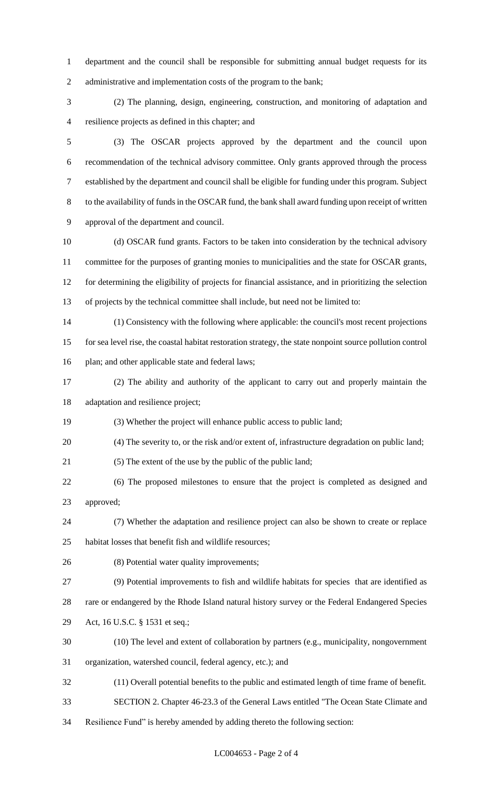department and the council shall be responsible for submitting annual budget requests for its 2 administrative and implementation costs of the program to the bank;

 (2) The planning, design, engineering, construction, and monitoring of adaptation and resilience projects as defined in this chapter; and

 (3) The OSCAR projects approved by the department and the council upon recommendation of the technical advisory committee. Only grants approved through the process established by the department and council shall be eligible for funding under this program. Subject to the availability of funds in the OSCAR fund, the bank shall award funding upon receipt of written approval of the department and council.

 (d) OSCAR fund grants. Factors to be taken into consideration by the technical advisory 11 committee for the purposes of granting monies to municipalities and the state for OSCAR grants, for determining the eligibility of projects for financial assistance, and in prioritizing the selection of projects by the technical committee shall include, but need not be limited to:

 (1) Consistency with the following where applicable: the council's most recent projections for sea level rise, the coastal habitat restoration strategy, the state nonpoint source pollution control 16 plan; and other applicable state and federal laws;

 (2) The ability and authority of the applicant to carry out and properly maintain the adaptation and resilience project;

(3) Whether the project will enhance public access to public land;

(4) The severity to, or the risk and/or extent of, infrastructure degradation on public land;

(5) The extent of the use by the public of the public land;

 (6) The proposed milestones to ensure that the project is completed as designed and approved;

 (7) Whether the adaptation and resilience project can also be shown to create or replace habitat losses that benefit fish and wildlife resources;

(8) Potential water quality improvements;

(9) Potential improvements to fish and wildlife habitats for species that are identified as

rare or endangered by the Rhode Island natural history survey or the Federal Endangered Species

Act, 16 U.S.C. § 1531 et seq.;

(10) The level and extent of collaboration by partners (e.g., municipality, nongovernment

organization, watershed council, federal agency, etc.); and

(11) Overall potential benefits to the public and estimated length of time frame of benefit.

SECTION 2. Chapter 46-23.3 of the General Laws entitled "The Ocean State Climate and

Resilience Fund" is hereby amended by adding thereto the following section: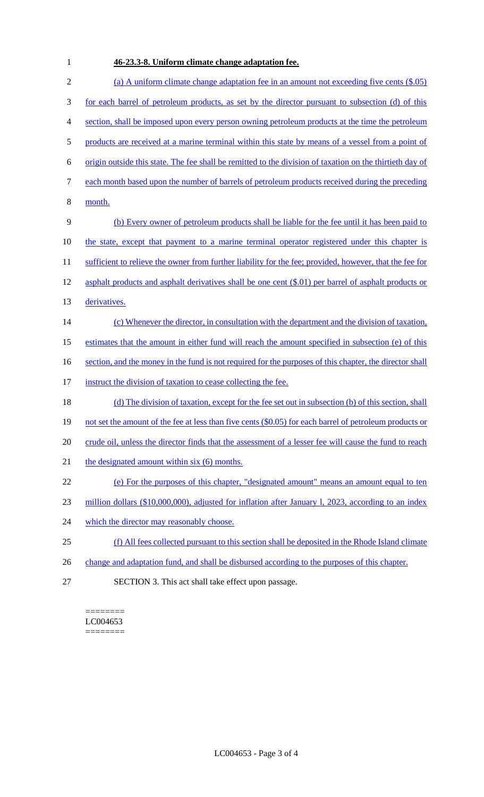# **46-23.3-8. Uniform climate change adaptation fee.**

| $\mathbf{2}$ | (a) A uniform climate change adaptation fee in an amount not exceeding five cents $(\$.05)$              |
|--------------|----------------------------------------------------------------------------------------------------------|
| 3            | for each barrel of petroleum products, as set by the director pursuant to subsection (d) of this         |
| 4            | section, shall be imposed upon every person owning petroleum products at the time the petroleum          |
| 5            | products are received at a marine terminal within this state by means of a vessel from a point of        |
| 6            | origin outside this state. The fee shall be remitted to the division of taxation on the thirtieth day of |
| 7            | each month based upon the number of barrels of petroleum products received during the preceding          |
| 8            | month.                                                                                                   |
| 9            | (b) Every owner of petroleum products shall be liable for the fee until it has been paid to              |
| 10           | the state, except that payment to a marine terminal operator registered under this chapter is            |
| 11           | sufficient to relieve the owner from further liability for the fee; provided, however, that the fee for  |
| 12           | asphalt products and asphalt derivatives shall be one cent $(\$.01)$ per barrel of asphalt products or   |
| 13           | derivatives.                                                                                             |
| 14           | (c) Whenever the director, in consultation with the department and the division of taxation,             |
| 15           | estimates that the amount in either fund will reach the amount specified in subsection (e) of this       |
| 16           | section, and the money in the fund is not required for the purposes of this chapter, the director shall  |
| 17           | instruct the division of taxation to cease collecting the fee.                                           |
| 18           | (d) The division of taxation, except for the fee set out in subsection (b) of this section, shall        |
| 19           | not set the amount of the fee at less than five cents (\$0.05) for each barrel of petroleum products or  |
| 20           | crude oil, unless the director finds that the assessment of a lesser fee will cause the fund to reach    |
| 21           | the designated amount within six (6) months.                                                             |
| 22           | (e) For the purposes of this chapter, "designated amount" means an amount equal to ten                   |
| 23           | million dollars $(\$10,000,000)$ , adjusted for inflation after January 1, 2023, according to an index   |
| 24           | which the director may reasonably choose.                                                                |
| 25           | (f) All fees collected pursuant to this section shall be deposited in the Rhode Island climate           |
| 26           | change and adaptation fund, and shall be disbursed according to the purposes of this chapter.            |
| 27           | SECTION 3. This act shall take effect upon passage.                                                      |

======== LC004653 ========